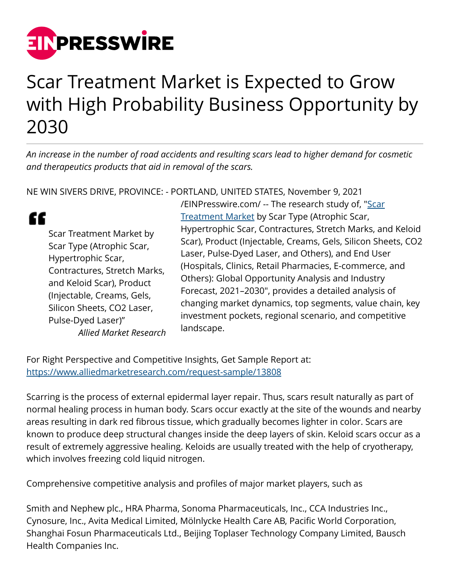

## Scar Treatment Market is Expected to Grow with High Probability Business Opportunity by 2030

*An increase in the number of road accidents and resulting scars lead to higher demand for cosmetic and therapeutics products that aid in removal of the scars.* 

NE WIN SIVERS DRIVE, PROVINCE: - PORTLAND, UNITED STATES, November 9, 2021

" Scar Treatment Market by Scar Type (Atrophic Scar, Hypertrophic Scar, Contractures, Stretch Marks, and Keloid Scar), Product (Injectable, Creams, Gels, Silicon Sheets, CO2 Laser, Pulse-Dyed Laser)" *Allied Market Research* [/EINPresswire.com/](http://www.einpresswire.com) -- The research study of, ["Scar](https://www.alliedmarketresearch.com/scar-treatment-market-A13439) [Treatment Market](https://www.alliedmarketresearch.com/scar-treatment-market-A13439) by Scar Type (Atrophic Scar, Hypertrophic Scar, Contractures, Stretch Marks, and Keloid Scar), Product (Injectable, Creams, Gels, Silicon Sheets, CO2 Laser, Pulse-Dyed Laser, and Others), and End User (Hospitals, Clinics, Retail Pharmacies, E-commerce, and Others): Global Opportunity Analysis and Industry Forecast, 2021–2030", provides a detailed analysis of changing market dynamics, top segments, value chain, key investment pockets, regional scenario, and competitive landscape.

For Right Perspective and Competitive Insights, Get Sample Report at: <https://www.alliedmarketresearch.com/request-sample/13808>

Scarring is the process of external epidermal layer repair. Thus, scars result naturally as part of normal healing process in human body. Scars occur exactly at the site of the wounds and nearby areas resulting in dark red fibrous tissue, which gradually becomes lighter in color. Scars are known to produce deep structural changes inside the deep layers of skin. Keloid scars occur as a result of extremely aggressive healing. Keloids are usually treated with the help of cryotherapy, which involves freezing cold liquid nitrogen.

Comprehensive competitive analysis and profiles of major market players, such as

Smith and Nephew plc., HRA Pharma, Sonoma Pharmaceuticals, Inc., CCA Industries Inc., Cynosure, Inc., Avita Medical Limited, Mölnlycke Health Care AB, Pacific World Corporation, Shanghai Fosun Pharmaceuticals Ltd., Beijing Toplaser Technology Company Limited, Bausch Health Companies Inc.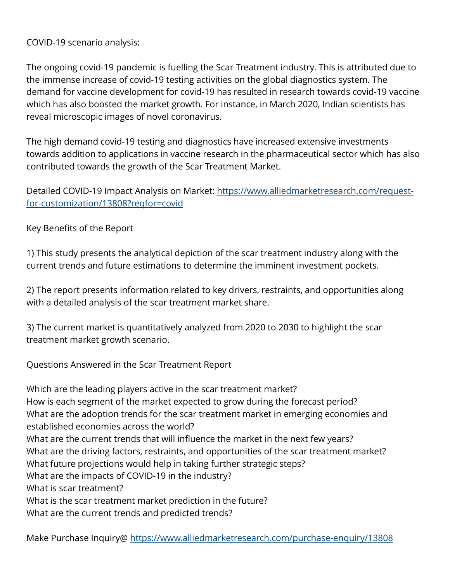COVID-19 scenario analysis:

The ongoing covid-19 pandemic is fuelling the Scar Treatment industry. This is attributed due to the immense increase of covid-19 testing activities on the global diagnostics system. The demand for vaccine development for covid-19 has resulted in research towards covid-19 vaccine which has also boosted the market growth. For instance, in March 2020, Indian scientists has reveal microscopic images of novel coronavirus.

The high demand covid-19 testing and diagnostics have increased extensive investments towards addition to applications in vaccine research in the pharmaceutical sector which has also contributed towards the growth of the Scar Treatment Market.

Detailed COVID-19 Impact Analysis on Market: [https://www.alliedmarketresearch.com/request](https://www.alliedmarketresearch.com/request-for-customization/13808?reqfor=covid)[for-customization/13808?reqfor=covid](https://www.alliedmarketresearch.com/request-for-customization/13808?reqfor=covid)

Key Benefits of the Report

1) This study presents the analytical depiction of the scar treatment industry along with the current trends and future estimations to determine the imminent investment pockets.

2) The report presents information related to key drivers, restraints, and opportunities along with a detailed analysis of the scar treatment market share.

3) The current market is quantitatively analyzed from 2020 to 2030 to highlight the scar treatment market growth scenario.

Questions Answered in the Scar Treatment Report

Which are the leading players active in the scar treatment market? How is each segment of the market expected to grow during the forecast period? What are the adoption trends for the scar treatment market in emerging economies and established economies across the world? What are the current trends that will influence the market in the next few years? What are the driving factors, restraints, and opportunities of the scar treatment market? What future projections would help in taking further strategic steps? What are the impacts of COVID-19 in the industry? What is scar treatment? What is the scar treatment market prediction in the future? What are the current trends and predicted trends?

Make Purchase Inquiry@<https://www.alliedmarketresearch.com/purchase-enquiry/13808>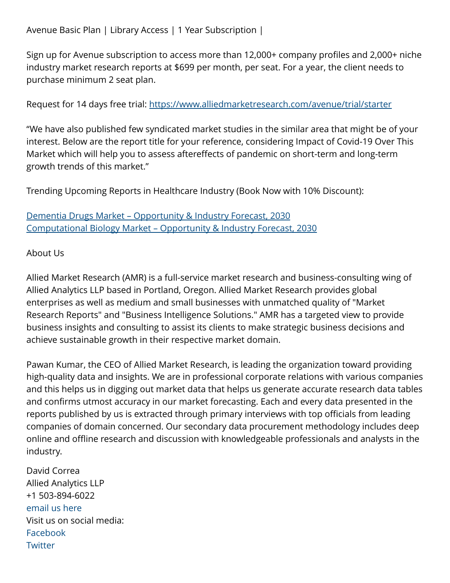Sign up for Avenue subscription to access more than 12,000+ company profiles and 2,000+ niche industry market research reports at \$699 per month, per seat. For a year, the client needs to purchase minimum 2 seat plan.

Request for 14 days free trial:<https://www.alliedmarketresearch.com/avenue/trial/starter>

"We have also published few syndicated market studies in the similar area that might be of your interest. Below are the report title for your reference, considering Impact of Covid-19 Over This Market which will help you to assess aftereffects of pandemic on short-term and long-term growth trends of this market."

Trending Upcoming Reports in Healthcare Industry (Book Now with 10% Discount):

[Dementia Drugs Market – Opportunity & Industry Forecast, 2030](https://www.alliedmarketresearch.com/dementia-drugs-market-A12014) [Computational Biology Market – Opportunity & Industry Forecast, 2030](https://www.alliedmarketresearch.com/computational-biology-market-A11921)

## About Us

Allied Market Research (AMR) is a full-service market research and business-consulting wing of Allied Analytics LLP based in Portland, Oregon. Allied Market Research provides global enterprises as well as medium and small businesses with unmatched quality of "Market Research Reports" and "Business Intelligence Solutions." AMR has a targeted view to provide business insights and consulting to assist its clients to make strategic business decisions and achieve sustainable growth in their respective market domain.

Pawan Kumar, the CEO of Allied Market Research, is leading the organization toward providing high-quality data and insights. We are in professional corporate relations with various companies and this helps us in digging out market data that helps us generate accurate research data tables and confirms utmost accuracy in our market forecasting. Each and every data presented in the reports published by us is extracted through primary interviews with top officials from leading companies of domain concerned. Our secondary data procurement methodology includes deep online and offline research and discussion with knowledgeable professionals and analysts in the industry.

David Correa Allied Analytics LLP +1 503-894-6022 [email us here](http://www.einpresswire.com/contact_author/3193767) Visit us on social media: [Facebook](https://www.facebook.com/alliedmarketresearch/) **[Twitter](https://twitter.com/allied_mr)**